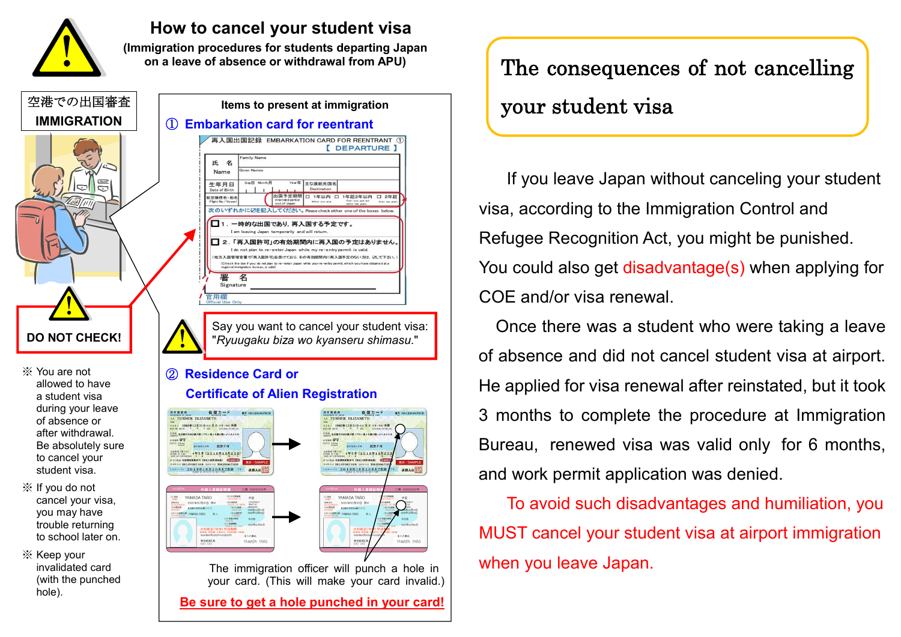

### **How to cancel your student visa**

**(Immigration procedures for students departing Japan on a leave of absence or withdrawal from APU)**



**Be sure to get a hole punched in your card!**

The consequences of not cancelling your student visa

If you leave Japan without canceling your student visa, according to the Immigration Control and Refugee Recognition Act, you might be punished. You could also get disadvantage(s) when applying for COE and/or visa renewal.

Once there was a student who were taking a leave of absence and did not cancel student visa at airport. He applied for visa renewal after reinstated, but it took 3 months to complete the procedure at Immigration Bureau, renewed visa was valid only for 6 months, and work permit application was denied.

To avoid such disadvantages and humiliation, you MUST cancel your student visa at airport immigration when you leave Japan.